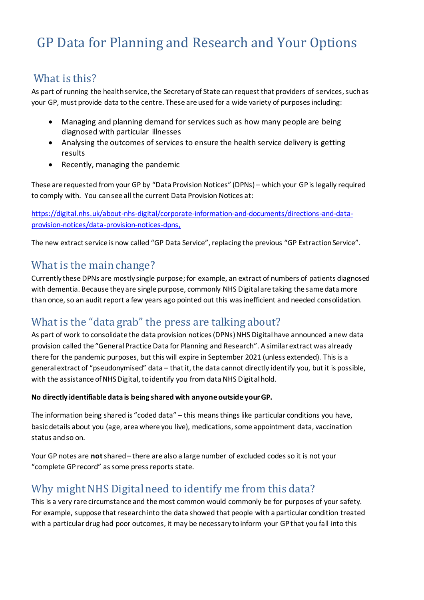# GP Data for Planning and Research and Your Options

### What is this?

As part of running the health service, the Secretary of State can request that providers of services, such as your GP, must provide data to the centre. These are used for a wide variety of purposes including:

- Managing and planning demand for services such as how many people are being diagnosed with particular illnesses
- Analysing the outcomes of services to ensure the health service delivery is getting results
- Recently, managing the pandemic

These are requested from your GP by "Data Provision Notices" (DPNs) – which your GP is legally required to comply with. You can see all the current Data Provision Notices at:

[https://digital.nhs.uk/about-nhs-digital/corporate-information-and-documents/directions-and-data](https://digital.nhs.uk/about-nhs-digital/corporate-information-and-documents/directions-and-data-provision-notices/data-provision-notices-dpns)[provision-notices/data-provision-notices-dpns,](https://digital.nhs.uk/about-nhs-digital/corporate-information-and-documents/directions-and-data-provision-notices/data-provision-notices-dpns)

The new extract service is now called "GP Data Service", replacing the previous "GP Extraction Service".

### What is the main change?

Currently these DPNs are mostly single purpose; for example, an extract of numbers of patients diagnosed with dementia. Because they are single purpose, commonly NHS Digital are taking the same data more than once, so an audit report a few years ago pointed out this was inefficient and needed consolidation.

## What is the "data grab" the press are talking about?

As part of work to consolidate the data provision notices (DPNs) NHS Digital have announced a new data provision called the "General Practice Data for Planning and Research". A similar extract was already there for the pandemic purposes, but this will expire in September 2021 (unless extended). This is a general extract of "pseudonymised" data – that it, the data cannot directly identify you, but it is possible, with the assistance of NHS Digital, to identify you from data NHS Digital hold.

#### **No directly identifiable data is being shared with anyone outside your GP.**

The information being shared is "coded data" – this means things like particular conditions you have, basic details about you (age, area where you live), medications, some appointment data, vaccination status and so on.

Your GP notes are **not**shared – there are also a large number of excluded codes so it is not your "complete GP record" as some press reports state.

## Why might NHS Digital need to identify me from this data?

This is a very rare circumstance and the most common would commonly be for purposes of your safety. For example, suppose that research into the data showed that people with a particular condition treated with a particular drug had poor outcomes, it may be necessary to inform your GP that you fall into this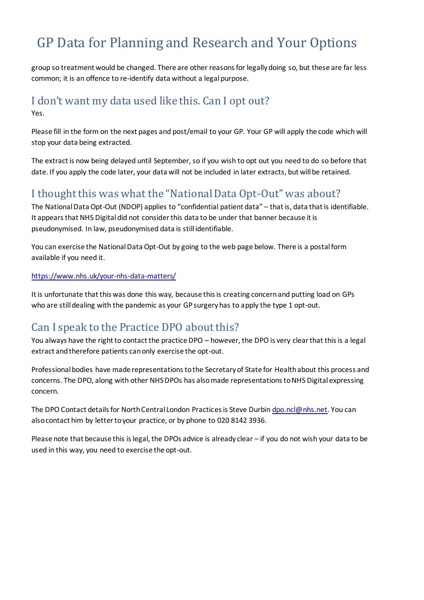# GP Data for Planning and Research and Your Options

group so treatment would be changed. There are other reasons for legally doing so, but these are far less common; it is an offence to re-identify data without a legal purpose.

### I don't want my data used like this. Can I opt out? Yes.

Please fill in the form on the next pages and post/email to your GP. Your GP will apply the code which will stop your data being extracted.

The extract is now being delayed until September, so if you wish to opt out you need to do so before that date. If you apply the code later, your data will not be included in later extracts, but will be retained.

### I thought this was what the "National Data Opt-Out" was about?

The National Data Opt-Out (NDOP) applies to "confidential patient data" – that is, data that is identifiable. It appears that NHS Digital did not consider this data to be under that banner because it is pseudonymised. In law, pseudonymised data is still identifiable.

You can exercise the National Data Opt-Out by going to the web page below. There is a postal form available if you need it.

#### <https://www.nhs.uk/your-nhs-data-matters/>

It is unfortunate that this was done this way, because this is creating concern and putting load on GPs who are still dealing with the pandemic as your GP surgery has to apply the type 1 opt-out.

### Can I speak to the Practice DPO about this?

You always have the right to contact the practice DPO – however, the DPO is very clear that this is a legal extract and therefore patients can only exercise the opt-out.

Professional bodies have made representations to the Secretary of State for Health about this process and concerns. The DPO, along with other NHS DPOs has also made representations to NHS Digital expressing concern.

The DPO Contact details for North Central London Practices is Steve Durbi[n dpo.ncl@nhs.net.](mailto:dpo.ncl@nhs.net) You can also contact him by letter to your practice, or by phone to 020 8142 3936.

Please note that because this is legal, the DPOs advice is already clear – if you do not wish your data to be used in this way, you need to exercise the opt-out.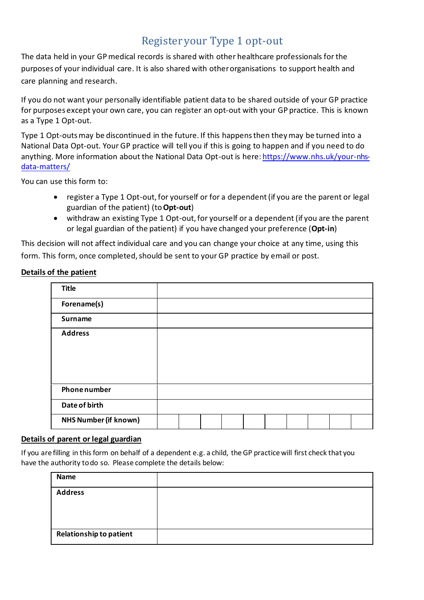# Register your Type 1 opt-out

The data held in your GP medical records is shared with other healthcare professionals for the purposes of your individual care. It is also shared with other organisations to support health and care planning and research.

If you do not want your personally identifiable patient data to be shared outside of your GP practice for purposes except your own care, you can register an opt-out with your GP practice. This is known as a Type 1 Opt-out.

Type 1 Opt-outs may be discontinued in the future. If this happens then they may be turned into a National Data Opt-out. Your GP practice will tell you if this is going to happen and if you need to do anything. More information about the National Data Opt-out is here[: https://www.nhs.uk/your-nhs](https://www.nhs.uk/your-nhs-data-matters/)[data-matters/](https://www.nhs.uk/your-nhs-data-matters/)

You can use this form to:

- register a Type 1 Opt-out, for yourself or for a dependent (if you are the parent or legal guardian of the patient) (to **Opt-out**)
- withdraw an existing Type 1 Opt-out, for yourself or a dependent (if you are the parent or legal guardian of the patient) if you have changed your preference (**Opt-in**)

This decision will not affect individual care and you can change your choice at any time, using this form. This form, once completed, should be sent to your GP practice by email or post.

#### **Details of the patient**

| <b>Title</b>                 |  |  |  |  |  |
|------------------------------|--|--|--|--|--|
| Forename(s)                  |  |  |  |  |  |
| <b>Surname</b>               |  |  |  |  |  |
| <b>Address</b>               |  |  |  |  |  |
|                              |  |  |  |  |  |
|                              |  |  |  |  |  |
|                              |  |  |  |  |  |
| <b>Phone number</b>          |  |  |  |  |  |
| Date of birth                |  |  |  |  |  |
| <b>NHS Number (if known)</b> |  |  |  |  |  |

#### **Details of parent or legal guardian**

If you are filling in this form on behalf of a dependent e.g. a child, the GP practice will first check that you have the authority to do so. Please complete the details below:

| <b>Name</b>             |  |
|-------------------------|--|
| <b>Address</b>          |  |
| Relationship to patient |  |